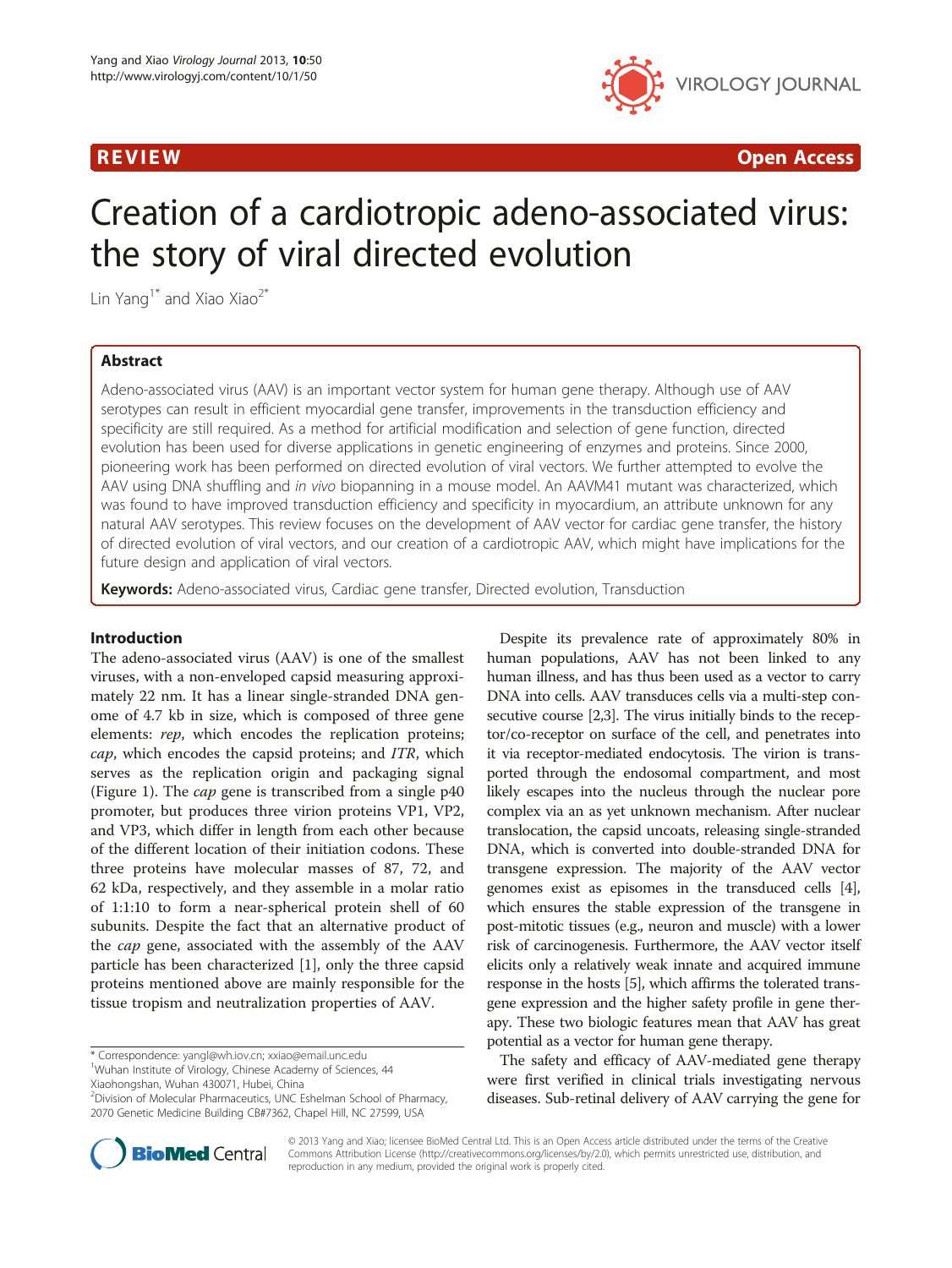

R EVI EW Open Access

# Creation of a cardiotropic adeno-associated virus: the story of viral directed evolution

Lin Yang<sup>1\*</sup> and Xiao Xiao<sup>2\*</sup>

# Abstract

Adeno-associated virus (AAV) is an important vector system for human gene therapy. Although use of AAV serotypes can result in efficient myocardial gene transfer, improvements in the transduction efficiency and specificity are still required. As a method for artificial modification and selection of gene function, directed evolution has been used for diverse applications in genetic engineering of enzymes and proteins. Since 2000, pioneering work has been performed on directed evolution of viral vectors. We further attempted to evolve the AAV using DNA shuffling and in vivo biopanning in a mouse model. An AAVM41 mutant was characterized, which was found to have improved transduction efficiency and specificity in myocardium, an attribute unknown for any natural AAV serotypes. This review focuses on the development of AAV vector for cardiac gene transfer, the history of directed evolution of viral vectors, and our creation of a cardiotropic AAV, which might have implications for the future design and application of viral vectors.

Keywords: Adeno-associated virus, Cardiac gene transfer, Directed evolution, Transduction

### Introduction

The adeno-associated virus (AAV) is one of the smallest viruses, with a non-enveloped capsid measuring approximately 22 nm. It has a linear single-stranded DNA genome of 4.7 kb in size, which is composed of three gene elements: rep, which encodes the replication proteins; cap, which encodes the capsid proteins; and ITR, which serves as the replication origin and packaging signal (Figure [1\)](#page-1-0). The cap gene is transcribed from a single p40 promoter, but produces three virion proteins VP1, VP2, and VP3, which differ in length from each other because of the different location of their initiation codons. These three proteins have molecular masses of 87, 72, and 62 kDa, respectively, and they assemble in a molar ratio of 1:1:10 to form a near-spherical protein shell of 60 subunits. Despite the fact that an alternative product of the cap gene, associated with the assembly of the AAV particle has been characterized [\[1](#page-5-0)], only the three capsid proteins mentioned above are mainly responsible for the tissue tropism and neutralization properties of AAV.

\* Correspondence: [yangl@wh.iov.cn](mailto:yangl@wh.iov.cn); [xxiao@email.unc.edu](mailto:xxiao@email.unc.edu) <sup>1</sup>

<sup>1</sup>Wuhan Institute of Virology, Chinese Academy of Sciences, 44

Xiaohongshan, Wuhan 430071, Hubei, China

2 Division of Molecular Pharmaceutics, UNC Eshelman School of Pharmacy, 2070 Genetic Medicine Building CB#7362, Chapel Hill, NC 27599, USA



The safety and efficacy of AAV-mediated gene therapy were first verified in clinical trials investigating nervous diseases. Sub-retinal delivery of AAV carrying the gene for



© 2013 Yang and Xiao; licensee BioMed Central Ltd. This is an Open Access article distributed under the terms of the Creative Commons Attribution License [\(http://creativecommons.org/licenses/by/2.0\)](http://creativecommons.org/licenses/by/2.0), which permits unrestricted use, distribution, and reproduction in any medium, provided the original work is properly cited.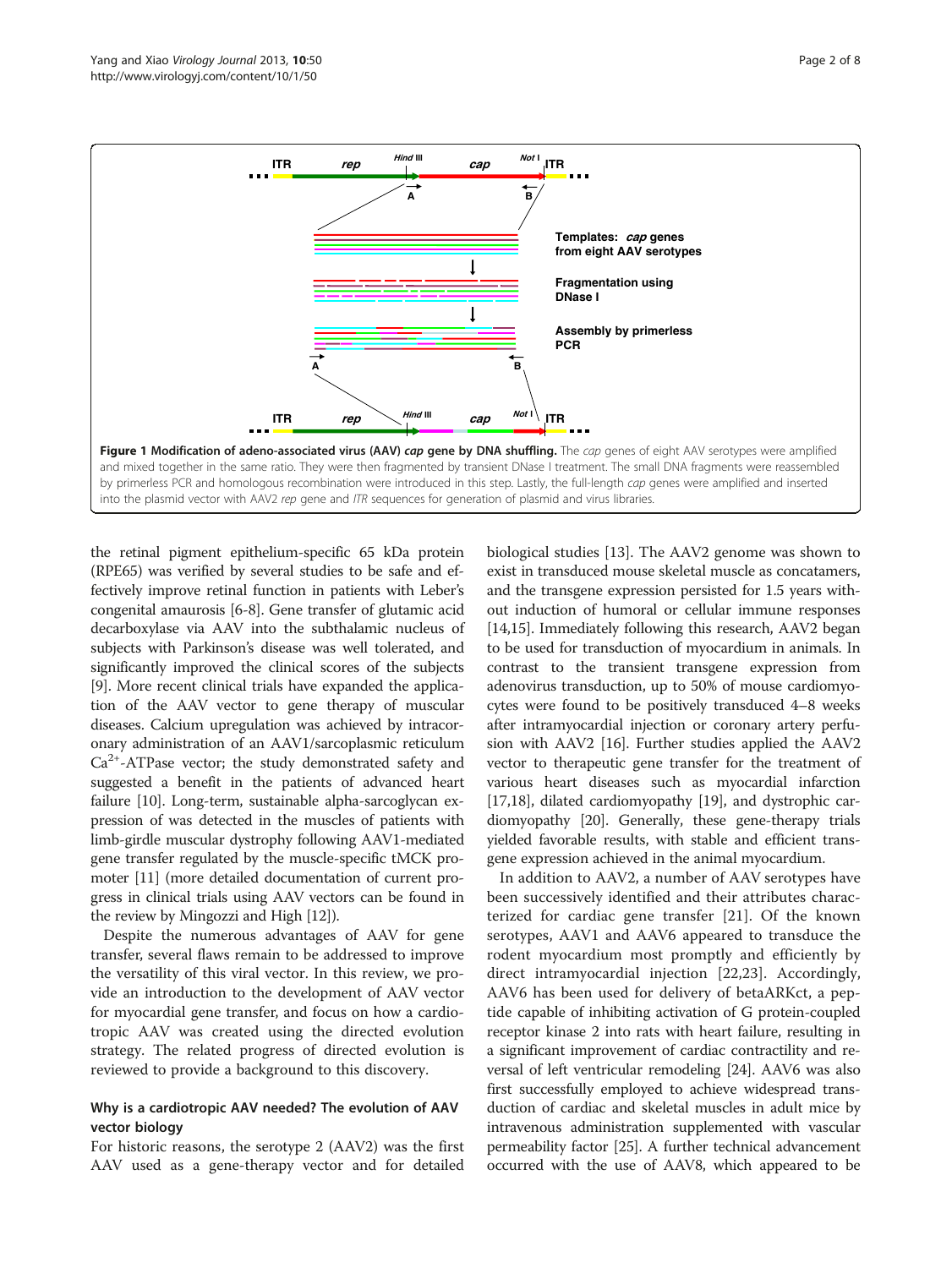<span id="page-1-0"></span>

the retinal pigment epithelium-specific 65 kDa protein (RPE65) was verified by several studies to be safe and effectively improve retinal function in patients with Leber's congenital amaurosis [\[6-8](#page-5-0)]. Gene transfer of glutamic acid decarboxylase via AAV into the subthalamic nucleus of subjects with Parkinson's disease was well tolerated, and significantly improved the clinical scores of the subjects [[9\]](#page-6-0). More recent clinical trials have expanded the application of the AAV vector to gene therapy of muscular diseases. Calcium upregulation was achieved by intracoronary administration of an AAV1/sarcoplasmic reticulum  $Ca<sup>2+</sup>$ -ATPase vector; the study demonstrated safety and suggested a benefit in the patients of advanced heart failure [[10](#page-6-0)]. Long-term, sustainable alpha-sarcoglycan expression of was detected in the muscles of patients with limb-girdle muscular dystrophy following AAV1-mediated gene transfer regulated by the muscle-specific tMCK promoter [\[11\]](#page-6-0) (more detailed documentation of current progress in clinical trials using AAV vectors can be found in the review by Mingozzi and High [[12](#page-6-0)]).

Despite the numerous advantages of AAV for gene transfer, several flaws remain to be addressed to improve the versatility of this viral vector. In this review, we provide an introduction to the development of AAV vector for myocardial gene transfer, and focus on how a cardiotropic AAV was created using the directed evolution strategy. The related progress of directed evolution is reviewed to provide a background to this discovery.

# Why is a cardiotropic AAV needed? The evolution of AAV vector biology

For historic reasons, the serotype 2 (AAV2) was the first AAV used as a gene-therapy vector and for detailed

biological studies [\[13](#page-6-0)]. The AAV2 genome was shown to exist in transduced mouse skeletal muscle as concatamers, and the transgene expression persisted for 1.5 years without induction of humoral or cellular immune responses [[14](#page-6-0),[15](#page-6-0)]. Immediately following this research, AAV2 began to be used for transduction of myocardium in animals. In contrast to the transient transgene expression from adenovirus transduction, up to 50% of mouse cardiomyocytes were found to be positively transduced 4–8 weeks after intramyocardial injection or coronary artery perfusion with AAV2 [\[16\]](#page-6-0). Further studies applied the AAV2 vector to therapeutic gene transfer for the treatment of various heart diseases such as myocardial infarction [[17](#page-6-0),[18](#page-6-0)], dilated cardiomyopathy [\[19\]](#page-6-0), and dystrophic cardiomyopathy [\[20\]](#page-6-0). Generally, these gene-therapy trials yielded favorable results, with stable and efficient transgene expression achieved in the animal myocardium.

In addition to AAV2, a number of AAV serotypes have been successively identified and their attributes characterized for cardiac gene transfer [\[21](#page-6-0)]. Of the known serotypes, AAV1 and AAV6 appeared to transduce the rodent myocardium most promptly and efficiently by direct intramyocardial injection [\[22](#page-6-0),[23\]](#page-6-0). Accordingly, AAV6 has been used for delivery of betaARKct, a peptide capable of inhibiting activation of G protein-coupled receptor kinase 2 into rats with heart failure, resulting in a significant improvement of cardiac contractility and reversal of left ventricular remodeling [[24](#page-6-0)]. AAV6 was also first successfully employed to achieve widespread transduction of cardiac and skeletal muscles in adult mice by intravenous administration supplemented with vascular permeability factor [\[25\]](#page-6-0). A further technical advancement occurred with the use of AAV8, which appeared to be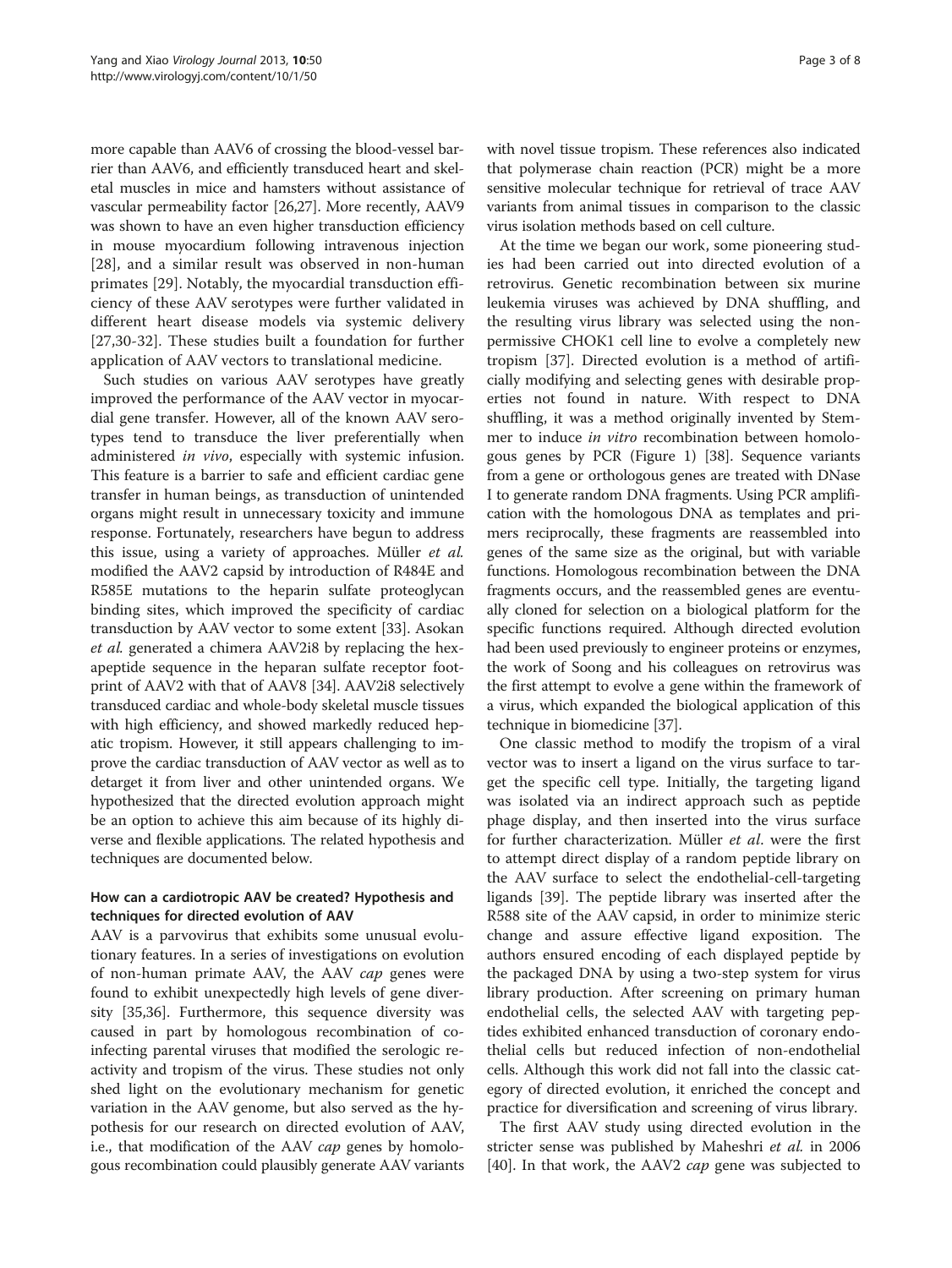more capable than AAV6 of crossing the blood-vessel barrier than AAV6, and efficiently transduced heart and skeletal muscles in mice and hamsters without assistance of vascular permeability factor [\[26,27\]](#page-6-0). More recently, AAV9 was shown to have an even higher transduction efficiency in mouse myocardium following intravenous injection [[28\]](#page-6-0), and a similar result was observed in non-human primates [[29\]](#page-6-0). Notably, the myocardial transduction efficiency of these AAV serotypes were further validated in different heart disease models via systemic delivery [[27,30](#page-6-0)-[32\]](#page-6-0). These studies built a foundation for further application of AAV vectors to translational medicine.

Such studies on various AAV serotypes have greatly improved the performance of the AAV vector in myocardial gene transfer. However, all of the known AAV serotypes tend to transduce the liver preferentially when administered in vivo, especially with systemic infusion. This feature is a barrier to safe and efficient cardiac gene transfer in human beings, as transduction of unintended organs might result in unnecessary toxicity and immune response. Fortunately, researchers have begun to address this issue, using a variety of approaches. Müller et al. modified the AAV2 capsid by introduction of R484E and R585E mutations to the heparin sulfate proteoglycan binding sites, which improved the specificity of cardiac transduction by AAV vector to some extent [[33\]](#page-6-0). Asokan et al. generated a chimera AAV2i8 by replacing the hexapeptide sequence in the heparan sulfate receptor footprint of AAV2 with that of AAV8 [[34\]](#page-6-0). AAV2i8 selectively transduced cardiac and whole-body skeletal muscle tissues with high efficiency, and showed markedly reduced hepatic tropism. However, it still appears challenging to improve the cardiac transduction of AAV vector as well as to detarget it from liver and other unintended organs. We hypothesized that the directed evolution approach might be an option to achieve this aim because of its highly diverse and flexible applications. The related hypothesis and techniques are documented below.

# How can a cardiotropic AAV be created? Hypothesis and techniques for directed evolution of AAV

AAV is a parvovirus that exhibits some unusual evolutionary features. In a series of investigations on evolution of non-human primate AAV, the AAV *cap* genes were found to exhibit unexpectedly high levels of gene diversity [\[35,36](#page-6-0)]. Furthermore, this sequence diversity was caused in part by homologous recombination of coinfecting parental viruses that modified the serologic reactivity and tropism of the virus. These studies not only shed light on the evolutionary mechanism for genetic variation in the AAV genome, but also served as the hypothesis for our research on directed evolution of AAV, i.e., that modification of the AAV *cap* genes by homologous recombination could plausibly generate AAV variants

with novel tissue tropism. These references also indicated that polymerase chain reaction (PCR) might be a more sensitive molecular technique for retrieval of trace AAV variants from animal tissues in comparison to the classic virus isolation methods based on cell culture.

At the time we began our work, some pioneering studies had been carried out into directed evolution of a retrovirus. Genetic recombination between six murine leukemia viruses was achieved by DNA shuffling, and the resulting virus library was selected using the nonpermissive CHOK1 cell line to evolve a completely new tropism [\[37](#page-6-0)]. Directed evolution is a method of artificially modifying and selecting genes with desirable properties not found in nature. With respect to DNA shuffling, it was a method originally invented by Stemmer to induce in vitro recombination between homologous genes by PCR (Figure [1\)](#page-1-0) [\[38\]](#page-6-0). Sequence variants from a gene or orthologous genes are treated with DNase I to generate random DNA fragments. Using PCR amplification with the homologous DNA as templates and primers reciprocally, these fragments are reassembled into genes of the same size as the original, but with variable functions. Homologous recombination between the DNA fragments occurs, and the reassembled genes are eventually cloned for selection on a biological platform for the specific functions required. Although directed evolution had been used previously to engineer proteins or enzymes, the work of Soong and his colleagues on retrovirus was the first attempt to evolve a gene within the framework of a virus, which expanded the biological application of this technique in biomedicine [\[37\]](#page-6-0).

One classic method to modify the tropism of a viral vector was to insert a ligand on the virus surface to target the specific cell type. Initially, the targeting ligand was isolated via an indirect approach such as peptide phage display, and then inserted into the virus surface for further characterization. Müller et al. were the first to attempt direct display of a random peptide library on the AAV surface to select the endothelial-cell-targeting ligands [[39\]](#page-6-0). The peptide library was inserted after the R588 site of the AAV capsid, in order to minimize steric change and assure effective ligand exposition. The authors ensured encoding of each displayed peptide by the packaged DNA by using a two-step system for virus library production. After screening on primary human endothelial cells, the selected AAV with targeting peptides exhibited enhanced transduction of coronary endothelial cells but reduced infection of non-endothelial cells. Although this work did not fall into the classic category of directed evolution, it enriched the concept and practice for diversification and screening of virus library.

The first AAV study using directed evolution in the stricter sense was published by Maheshri et al. in 2006 [[40\]](#page-6-0). In that work, the AAV2 *cap* gene was subjected to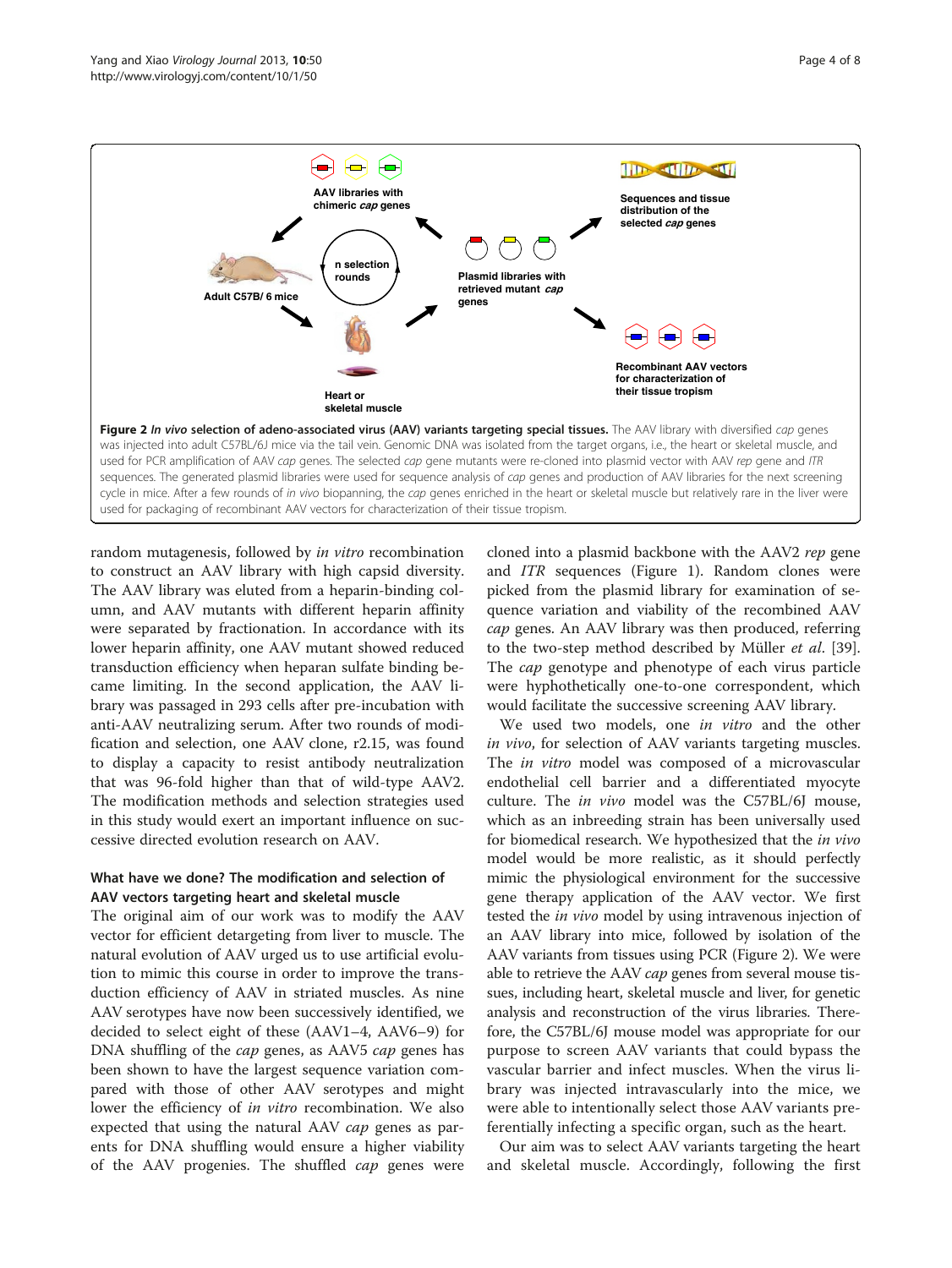

used for packaging of recombinant AAV vectors for characterization of their tissue tropism.

random mutagenesis, followed by *in vitro* recombination to construct an AAV library with high capsid diversity. The AAV library was eluted from a heparin-binding column, and AAV mutants with different heparin affinity were separated by fractionation. In accordance with its lower heparin affinity, one AAV mutant showed reduced transduction efficiency when heparan sulfate binding became limiting. In the second application, the AAV library was passaged in 293 cells after pre-incubation with anti-AAV neutralizing serum. After two rounds of modification and selection, one AAV clone, r2.15, was found to display a capacity to resist antibody neutralization that was 96-fold higher than that of wild-type AAV2. The modification methods and selection strategies used in this study would exert an important influence on successive directed evolution research on AAV.

# What have we done? The modification and selection of AAV vectors targeting heart and skeletal muscle

The original aim of our work was to modify the AAV vector for efficient detargeting from liver to muscle. The natural evolution of AAV urged us to use artificial evolution to mimic this course in order to improve the transduction efficiency of AAV in striated muscles. As nine AAV serotypes have now been successively identified, we decided to select eight of these (AAV1–4, AAV6–9) for DNA shuffling of the *cap* genes, as AAV5 *cap* genes has been shown to have the largest sequence variation compared with those of other AAV serotypes and might lower the efficiency of in vitro recombination. We also expected that using the natural AAV *cap* genes as parents for DNA shuffling would ensure a higher viability of the AAV progenies. The shuffled cap genes were

cloned into a plasmid backbone with the AAV2 rep gene and ITR sequences (Figure [1](#page-1-0)). Random clones were picked from the plasmid library for examination of sequence variation and viability of the recombined AAV cap genes. An AAV library was then produced, referring to the two-step method described by Müller et al. [\[39](#page-6-0)]. The *cap* genotype and phenotype of each virus particle were hyphothetically one-to-one correspondent, which would facilitate the successive screening AAV library.

We used two models, one in vitro and the other in vivo, for selection of AAV variants targeting muscles. The *in vitro* model was composed of a microvascular endothelial cell barrier and a differentiated myocyte culture. The in vivo model was the C57BL/6J mouse, which as an inbreeding strain has been universally used for biomedical research. We hypothesized that the *in vivo* model would be more realistic, as it should perfectly mimic the physiological environment for the successive gene therapy application of the AAV vector. We first tested the in vivo model by using intravenous injection of an AAV library into mice, followed by isolation of the AAV variants from tissues using PCR (Figure 2). We were able to retrieve the AAV *cap* genes from several mouse tissues, including heart, skeletal muscle and liver, for genetic analysis and reconstruction of the virus libraries. Therefore, the C57BL/6J mouse model was appropriate for our purpose to screen AAV variants that could bypass the vascular barrier and infect muscles. When the virus library was injected intravascularly into the mice, we were able to intentionally select those AAV variants preferentially infecting a specific organ, such as the heart.

Our aim was to select AAV variants targeting the heart and skeletal muscle. Accordingly, following the first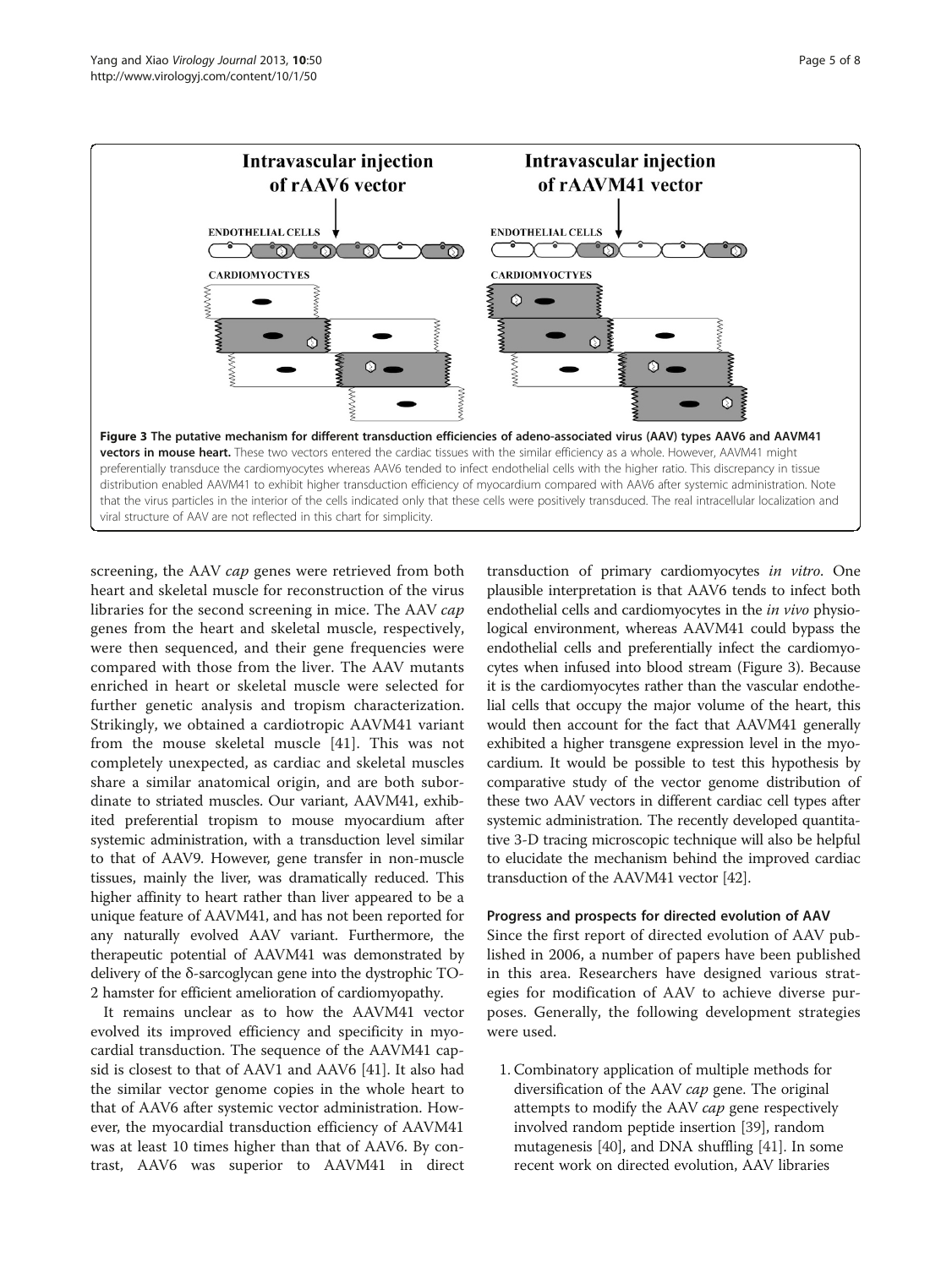<span id="page-4-0"></span>

screening, the AAV cap genes were retrieved from both heart and skeletal muscle for reconstruction of the virus libraries for the second screening in mice. The AAV cap genes from the heart and skeletal muscle, respectively, were then sequenced, and their gene frequencies were compared with those from the liver. The AAV mutants enriched in heart or skeletal muscle were selected for further genetic analysis and tropism characterization. Strikingly, we obtained a cardiotropic AAVM41 variant from the mouse skeletal muscle [[41\]](#page-6-0). This was not completely unexpected, as cardiac and skeletal muscles share a similar anatomical origin, and are both subordinate to striated muscles. Our variant, AAVM41, exhibited preferential tropism to mouse myocardium after systemic administration, with a transduction level similar to that of AAV9. However, gene transfer in non-muscle tissues, mainly the liver, was dramatically reduced. This higher affinity to heart rather than liver appeared to be a unique feature of AAVM41, and has not been reported for any naturally evolved AAV variant. Furthermore, the therapeutic potential of AAVM41 was demonstrated by delivery of the δ-sarcoglycan gene into the dystrophic TO-2 hamster for efficient amelioration of cardiomyopathy.

It remains unclear as to how the AAVM41 vector evolved its improved efficiency and specificity in myocardial transduction. The sequence of the AAVM41 capsid is closest to that of AAV1 and AAV6 [\[41\]](#page-6-0). It also had the similar vector genome copies in the whole heart to that of AAV6 after systemic vector administration. However, the myocardial transduction efficiency of AAVM41 was at least 10 times higher than that of AAV6. By contrast, AAV6 was superior to AAVM41 in direct

transduction of primary cardiomyocytes in vitro. One plausible interpretation is that AAV6 tends to infect both endothelial cells and cardiomyocytes in the in vivo physiological environment, whereas AAVM41 could bypass the endothelial cells and preferentially infect the cardiomyocytes when infused into blood stream (Figure 3). Because it is the cardiomyocytes rather than the vascular endothelial cells that occupy the major volume of the heart, this would then account for the fact that AAVM41 generally exhibited a higher transgene expression level in the myocardium. It would be possible to test this hypothesis by comparative study of the vector genome distribution of these two AAV vectors in different cardiac cell types after systemic administration. The recently developed quantitative 3-D tracing microscopic technique will also be helpful to elucidate the mechanism behind the improved cardiac transduction of the AAVM41 vector [\[42\]](#page-6-0).

### Progress and prospects for directed evolution of AAV

Since the first report of directed evolution of AAV published in 2006, a number of papers have been published in this area. Researchers have designed various strategies for modification of AAV to achieve diverse purposes. Generally, the following development strategies were used.

1. Combinatory application of multiple methods for diversification of the AAV *cap* gene. The original attempts to modify the AAV cap gene respectively involved random peptide insertion [[39](#page-6-0)], random mutagenesis [[40](#page-6-0)], and DNA shuffling [[41](#page-6-0)]. In some recent work on directed evolution, AAV libraries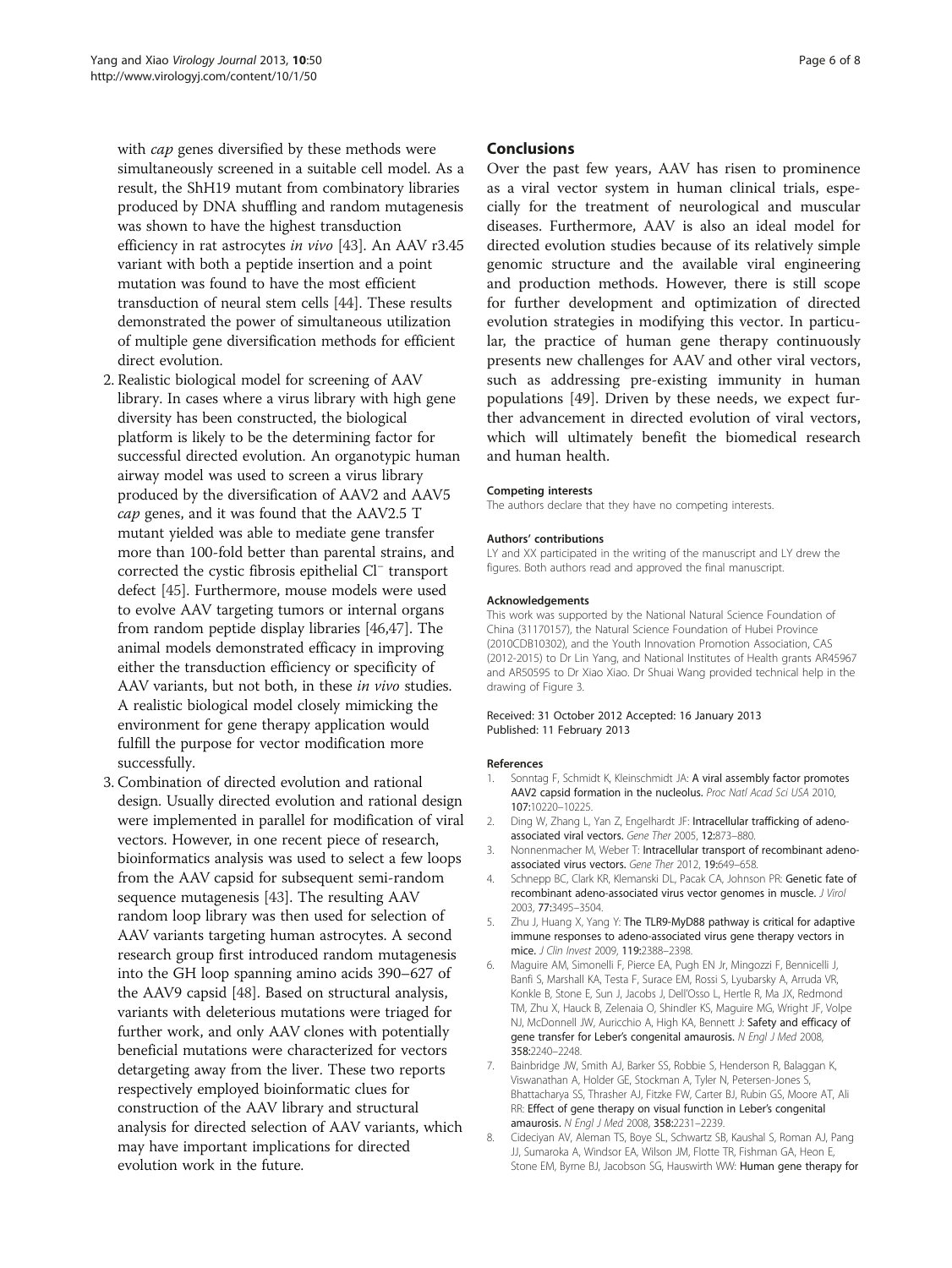<span id="page-5-0"></span>with *cap* genes diversified by these methods were simultaneously screened in a suitable cell model. As a result, the ShH19 mutant from combinatory libraries produced by DNA shuffling and random mutagenesis was shown to have the highest transduction efficiency in rat astrocytes in vivo [[43](#page-6-0)]. An AAV r3.45 variant with both a peptide insertion and a point mutation was found to have the most efficient transduction of neural stem cells [[44](#page-6-0)]. These results demonstrated the power of simultaneous utilization of multiple gene diversification methods for efficient direct evolution.

- 2. Realistic biological model for screening of AAV library. In cases where a virus library with high gene diversity has been constructed, the biological platform is likely to be the determining factor for successful directed evolution. An organotypic human airway model was used to screen a virus library produced by the diversification of AAV2 and AAV5 cap genes, and it was found that the AAV2.5 T mutant yielded was able to mediate gene transfer more than 100-fold better than parental strains, and corrected the cystic fibrosis epithelial Cl<sup>−</sup> transport defect [[45](#page-6-0)]. Furthermore, mouse models were used to evolve AAV targeting tumors or internal organs from random peptide display libraries [[46,47\]](#page-6-0). The animal models demonstrated efficacy in improving either the transduction efficiency or specificity of AAV variants, but not both, in these in vivo studies. A realistic biological model closely mimicking the environment for gene therapy application would fulfill the purpose for vector modification more successfully.
- 3. Combination of directed evolution and rational design. Usually directed evolution and rational design were implemented in parallel for modification of viral vectors. However, in one recent piece of research, bioinformatics analysis was used to select a few loops from the AAV capsid for subsequent semi-random sequence mutagenesis [\[43](#page-6-0)]. The resulting AAV random loop library was then used for selection of AAV variants targeting human astrocytes. A second research group first introduced random mutagenesis into the GH loop spanning amino acids 390–627 of the AAV9 capsid [\[48\]](#page-7-0). Based on structural analysis, variants with deleterious mutations were triaged for further work, and only AAV clones with potentially beneficial mutations were characterized for vectors detargeting away from the liver. These two reports respectively employed bioinformatic clues for construction of the AAV library and structural analysis for directed selection of AAV variants, which may have important implications for directed evolution work in the future.

# Conclusions

Over the past few years, AAV has risen to prominence as a viral vector system in human clinical trials, especially for the treatment of neurological and muscular diseases. Furthermore, AAV is also an ideal model for directed evolution studies because of its relatively simple genomic structure and the available viral engineering and production methods. However, there is still scope for further development and optimization of directed evolution strategies in modifying this vector. In particular, the practice of human gene therapy continuously presents new challenges for AAV and other viral vectors, such as addressing pre-existing immunity in human populations [[49](#page-7-0)]. Driven by these needs, we expect further advancement in directed evolution of viral vectors, which will ultimately benefit the biomedical research and human health.

#### Competing interests

The authors declare that they have no competing interests.

#### Authors' contributions

LY and XX participated in the writing of the manuscript and LY drew the figures. Both authors read and approved the final manuscript.

#### Acknowledgements

This work was supported by the National Natural Science Foundation of China (31170157), the Natural Science Foundation of Hubei Province (2010CDB10302), and the Youth Innovation Promotion Association, CAS (2012-2015) to Dr Lin Yang, and National Institutes of Health grants AR45967 and AR50595 to Dr Xiao Xiao. Dr Shuai Wang provided technical help in the drawing of Figure [3](#page-4-0).

#### Received: 31 October 2012 Accepted: 16 January 2013 Published: 11 February 2013

#### References

- 1. Sonntag F, Schmidt K, Kleinschmidt JA: A viral assembly factor promotes AAV2 capsid formation in the nucleolus. Proc Natl Acad Sci USA 2010, 107:10220–10225.
- 2. Ding W, Zhang L, Yan Z, Engelhardt JF: Intracellular trafficking of adenoassociated viral vectors. Gene Ther 2005, 12:873–880.
- 3. Nonnenmacher M, Weber T: Intracellular transport of recombinant adenoassociated virus vectors. Gene Ther 2012, 19:649–658.
- 4. Schnepp BC, Clark KR, Klemanski DL, Pacak CA, Johnson PR: Genetic fate of recombinant adeno-associated virus vector genomes in muscle. J Virol 2003, 77:3495–3504.
- 5. Zhu J, Huang X, Yang Y: The TLR9-MyD88 pathway is critical for adaptive immune responses to adeno-associated virus gene therapy vectors in mice. J Clin Invest 2009, 119:2388–2398.
- 6. Maguire AM, Simonelli F, Pierce EA, Pugh EN Jr, Mingozzi F, Bennicelli J, Banfi S, Marshall KA, Testa F, Surace EM, Rossi S, Lyubarsky A, Arruda VR, Konkle B, Stone E, Sun J, Jacobs J, Dell'Osso L, Hertle R, Ma JX, Redmond TM, Zhu X, Hauck B, Zelenaia O, Shindler KS, Maguire MG, Wright JF, Volpe NJ, McDonnell JW, Auricchio A, High KA, Bennett J: Safety and efficacy of gene transfer for Leber's congenital amaurosis. N Engl J Med 2008, 358:2240–2248.
- 7. Bainbridge JW, Smith AJ, Barker SS, Robbie S, Henderson R, Balaggan K, Viswanathan A, Holder GE, Stockman A, Tyler N, Petersen-Jones S, Bhattacharya SS, Thrasher AJ, Fitzke FW, Carter BJ, Rubin GS, Moore AT, Ali RR: Effect of gene therapy on visual function in Leber's congenital amaurosis. N Engl J Med 2008, 358:2231–2239.
- 8. Cideciyan AV, Aleman TS, Boye SL, Schwartz SB, Kaushal S, Roman AJ, Pang JJ, Sumaroka A, Windsor EA, Wilson JM, Flotte TR, Fishman GA, Heon E, Stone EM, Byrne BJ, Jacobson SG, Hauswirth WW: Human gene therapy for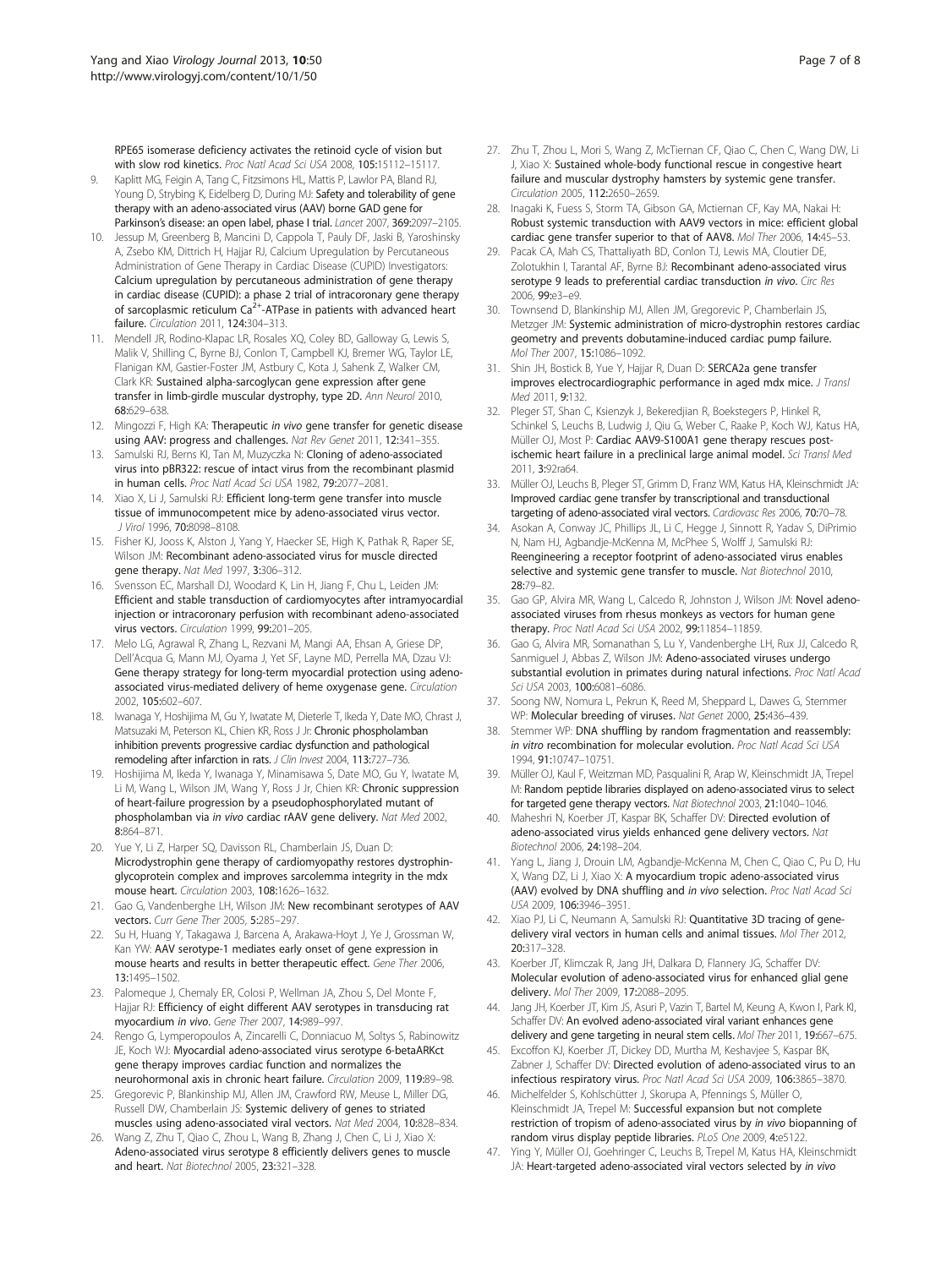<span id="page-6-0"></span>RPE65 isomerase deficiency activates the retinoid cycle of vision but with slow rod kinetics. Proc Natl Acad Sci USA 2008, 105:15112–15117.

- 9. Kaplitt MG, Feigin A, Tang C, Fitzsimons HL, Mattis P, Lawlor PA, Bland RJ, Young D, Strybing K, Eidelberg D, During MJ: Safety and tolerability of gene therapy with an adeno-associated virus (AAV) borne GAD gene for Parkinson's disease: an open label, phase I trial. Lancet 2007, 369:2097-2105.
- 10. Jessup M, Greenberg B, Mancini D, Cappola T, Pauly DF, Jaski B, Yaroshinsky A, Zsebo KM, Dittrich H, Hajjar RJ, Calcium Upregulation by Percutaneous Administration of Gene Therapy in Cardiac Disease (CUPID) Investigators: Calcium upregulation by percutaneous administration of gene therapy in cardiac disease (CUPID): a phase 2 trial of intracoronary gene therapy of sarcoplasmic reticulum Ca<sup>2+</sup>-ATPase in patients with advanced heart failure. Circulation 2011, 124:304–313.
- 11. Mendell JR, Rodino-Klapac LR, Rosales XQ, Coley BD, Galloway G, Lewis S, Malik V, Shilling C, Byrne BJ, Conlon T, Campbell KJ, Bremer WG, Taylor LE, Flanigan KM, Gastier-Foster JM, Astbury C, Kota J, Sahenk Z, Walker CM, Clark KR: Sustained alpha-sarcoglycan gene expression after gene transfer in limb-girdle muscular dystrophy, type 2D. Ann Neurol 2010, 68:629–638.
- 12. Mingozzi F, High KA: Therapeutic in vivo gene transfer for genetic disease using AAV: progress and challenges. Nat Rev Genet 2011, 12:341–355.
- 13. Samulski RJ, Berns KI, Tan M, Muzyczka N: Cloning of adeno-associated virus into pBR322: rescue of intact virus from the recombinant plasmid in human cells. Proc Natl Acad Sci USA 1982, 79:2077–2081.
- 14. Xiao X, Li J, Samulski RJ: Efficient long-term gene transfer into muscle tissue of immunocompetent mice by adeno-associated virus vector. J Virol 1996, 70:8098–8108.
- 15. Fisher KJ, Jooss K, Alston J, Yang Y, Haecker SE, High K, Pathak R, Raper SE, Wilson JM: Recombinant adeno-associated virus for muscle directed gene therapy. Nat Med 1997, 3:306–312.
- 16. Svensson EC, Marshall DJ, Woodard K, Lin H, Jiang F, Chu L, Leiden JM: Efficient and stable transduction of cardiomyocytes after intramyocardial injection or intracoronary perfusion with recombinant adeno-associated virus vectors. Circulation 1999, 99:201-205.
- 17. Melo LG, Agrawal R, Zhang L, Rezvani M, Mangi AA, Ehsan A, Griese DP, Dell'Acqua G, Mann MJ, Oyama J, Yet SF, Layne MD, Perrella MA, Dzau VJ: Gene therapy strategy for long-term myocardial protection using adenoassociated virus-mediated delivery of heme oxygenase gene. Circulation 2002, 105:602–607.
- 18. Iwanaga Y, Hoshijima M, Gu Y, Iwatate M, Dieterle T, Ikeda Y, Date MO, Chrast J, Matsuzaki M, Peterson KL, Chien KR, Ross J Jr: Chronic phospholamban inhibition prevents progressive cardiac dysfunction and pathological remodeling after infarction in rats. J Clin Invest 2004, 113:727-736.
- 19. Hoshijima M, Ikeda Y, Iwanaga Y, Minamisawa S, Date MO, Gu Y, Iwatate M, Li M, Wang L, Wilson JM, Wang Y, Ross J Jr, Chien KR: Chronic suppression of heart-failure progression by a pseudophosphorylated mutant of phospholamban via in vivo cardiac rAAV gene delivery. Nat Med 2002, 8:864–871.
- 20. Yue Y, Li Z, Harper SQ, Davisson RL, Chamberlain JS, Duan D: Microdystrophin gene therapy of cardiomyopathy restores dystrophinglycoprotein complex and improves sarcolemma integrity in the mdx mouse heart. Circulation 2003, 108:1626–1632.
- 21. Gao G, Vandenberghe LH, Wilson JM: New recombinant serotypes of AAV vectors. Curr Gene Ther 2005, 5:285–297.
- 22. Su H, Huang Y, Takagawa J, Barcena A, Arakawa-Hoyt J, Ye J, Grossman W, Kan YW: AAV serotype-1 mediates early onset of gene expression in mouse hearts and results in better therapeutic effect. Gene Ther 2006, 13:1495–1502.
- 23. Palomeque J, Chemaly ER, Colosi P, Wellman JA, Zhou S, Del Monte F, Hajjar RJ: Efficiency of eight different AAV serotypes in transducing rat myocardium in vivo. Gene Ther 2007, 14:989–997.
- 24. Rengo G, Lymperopoulos A, Zincarelli C, Donniacuo M, Soltys S, Rabinowitz JE, Koch WJ: Myocardial adeno-associated virus serotype 6-betaARKct gene therapy improves cardiac function and normalizes the neurohormonal axis in chronic heart failure. Circulation 2009, 119:89–98.
- 25. Gregorevic P, Blankinship MJ, Allen JM, Crawford RW, Meuse L, Miller DG, Russell DW, Chamberlain JS: Systemic delivery of genes to striated muscles using adeno-associated viral vectors. Nat Med 2004, 10:828–834.
- 26. Wang Z, Zhu T, Qiao C, Zhou L, Wang B, Zhang J, Chen C, Li J, Xiao X: Adeno-associated virus serotype 8 efficiently delivers genes to muscle and heart. Nat Biotechnol 2005, 23:321–328.
- 27. Zhu T, Zhou L, Mori S, Wang Z, McTiernan CF, Qiao C, Chen C, Wang DW, Li J, Xiao X: Sustained whole-body functional rescue in congestive heart failure and muscular dystrophy hamsters by systemic gene transfer. Circulation 2005, 112:2650–2659.
- 28. Inagaki K, Fuess S, Storm TA, Gibson GA, Mctiernan CF, Kay MA, Nakai H: Robust systemic transduction with AAV9 vectors in mice: efficient global cardiac gene transfer superior to that of AAV8. Mol Ther 2006, 14:45–53.
- 29. Pacak CA, Mah CS, Thattaliyath BD, Conlon TJ, Lewis MA, Cloutier DE, Zolotukhin I, Tarantal AF, Byrne BJ: Recombinant adeno-associated virus serotype 9 leads to preferential cardiac transduction in vivo. Circ Res 2006, 99:e3–e9.
- 30. Townsend D, Blankinship MJ, Allen JM, Gregorevic P, Chamberlain JS, Metzger JM: Systemic administration of micro-dystrophin restores cardiac geometry and prevents dobutamine-induced cardiac pump failure. Mol Ther 2007, 15:1086–1092.
- 31. Shin JH, Bostick B, Yue Y, Hajjar R, Duan D: SERCA2a gene transfer improves electrocardiographic performance in aged mdx mice. J Transl Med 2011, 9:132.
- 32. Pleger ST, Shan C, Ksienzyk J, Bekeredjian R, Boekstegers P, Hinkel R, Schinkel S, Leuchs B, Ludwig J, Qiu G, Weber C, Raake P, Koch WJ, Katus HA, Müller OJ, Most P: Cardiac AAV9-S100A1 gene therapy rescues postischemic heart failure in a preclinical large animal model. Sci Transl Med 2011, 3:92ra64.
- 33. Müller OJ, Leuchs B, Pleger ST, Grimm D, Franz WM, Katus HA, Kleinschmidt JA: Improved cardiac gene transfer by transcriptional and transductional targeting of adeno-associated viral vectors. Cardiovasc Res 2006, 70:70-78.
- 34. Asokan A, Conway JC, Phillips JL, Li C, Hegge J, Sinnott R, Yadav S, DiPrimio N, Nam HJ, Agbandje-McKenna M, McPhee S, Wolff J, Samulski RJ: Reengineering a receptor footprint of adeno-associated virus enables selective and systemic gene transfer to muscle. Nat Biotechnol 2010, 28:79–82.
- 35. Gao GP, Alvira MR, Wang L, Calcedo R, Johnston J, Wilson JM: Novel adenoassociated viruses from rhesus monkeys as vectors for human gene therapy. Proc Natl Acad Sci USA 2002, 99:11854–11859.
- 36. Gao G, Alvira MR, Somanathan S, Lu Y, Vandenberghe LH, Rux JJ, Calcedo R, Sanmiguel J, Abbas Z, Wilson JM: Adeno-associated viruses undergo substantial evolution in primates during natural infections. Proc Natl Acad Sci USA 2003, 100:6081–6086.
- 37. Soong NW, Nomura L, Pekrun K, Reed M, Sheppard L, Dawes G, Stemmer WP: Molecular breeding of viruses. Nat Genet 2000, 25:436–439.
- 38. Stemmer WP: DNA shuffling by random fragmentation and reassembly: in vitro recombination for molecular evolution. Proc Natl Acad Sci USA 1994, 91:10747–10751.
- 39. Müller OJ, Kaul F, Weitzman MD, Pasqualini R, Arap W, Kleinschmidt JA, Trepel M: Random peptide libraries displayed on adeno-associated virus to select for targeted gene therapy vectors. Nat Biotechnol 2003, 21:1040–1046.
- 40. Maheshri N, Koerber JT, Kaspar BK, Schaffer DV: Directed evolution of adeno-associated virus yields enhanced gene delivery vectors. Nat Biotechnol 2006, 24:198–204.
- 41. Yang L, Jiang J, Drouin LM, Agbandje-McKenna M, Chen C, Qiao C, Pu D, Hu X, Wang DZ, Li J, Xiao X: A myocardium tropic adeno-associated virus (AAV) evolved by DNA shuffling and in vivo selection. Proc Natl Acad Sci USA 2009, 106:3946–3951.
- 42. Xiao PJ, Li C, Neumann A, Samulski RJ: Quantitative 3D tracing of genedelivery viral vectors in human cells and animal tissues. Mol Ther 2012, 20:317–328.
- 43. Koerber JT, Klimczak R, Jang JH, Dalkara D, Flannery JG, Schaffer DV: Molecular evolution of adeno-associated virus for enhanced glial gene delivery. Mol Ther 2009, 17:2088–2095.
- 44. Jang JH, Koerber JT, Kim JS, Asuri P, Vazin T, Bartel M, Keung A, Kwon I, Park KI, Schaffer DV: An evolved adeno-associated viral variant enhances gene delivery and gene targeting in neural stem cells. Mol Ther 2011, 19:667–675.
- 45. Excoffon KJ, Koerber JT, Dickey DD, Murtha M, Keshavjee S, Kaspar BK, Zabner J, Schaffer DV: Directed evolution of adeno-associated virus to an infectious respiratory virus. Proc Natl Acad Sci USA 2009, 106:3865–3870.
- 46. Michelfelder S, Kohlschütter J, Skorupa A, Pfennings S, Müller O, Kleinschmidt JA, Trepel M: Successful expansion but not complete restriction of tropism of adeno-associated virus by in vivo biopanning of random virus display peptide libraries. PLoS One 2009, 4:e5122.
- 47. Ying Y, Müller OJ, Goehringer C, Leuchs B, Trepel M, Katus HA, Kleinschmidt JA: Heart-targeted adeno-associated viral vectors selected by in vivo